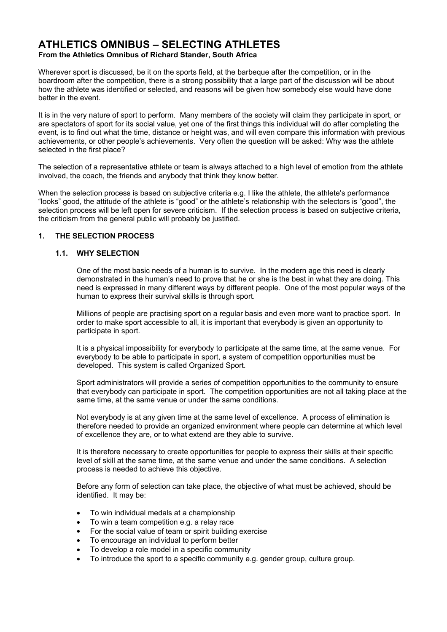## **ATHLETICS OMNIBUS – SELECTING ATHLETES From the Athletics Omnibus of Richard Stander, South Africa**

Wherever sport is discussed, be it on the sports field, at the barbeque after the competition, or in the boardroom after the competition, there is a strong possibility that a large part of the discussion will be about how the athlete was identified or selected, and reasons will be given how somebody else would have done better in the event.

It is in the very nature of sport to perform. Many members of the society will claim they participate in sport, or are spectators of sport for its social value, yet one of the first things this individual will do after completing the event, is to find out what the time, distance or height was, and will even compare this information with previous achievements, or other people's achievements. Very often the question will be asked: Why was the athlete selected in the first place?

The selection of a representative athlete or team is always attached to a high level of emotion from the athlete involved, the coach, the friends and anybody that think they know better.

When the selection process is based on subjective criteria e.g. I like the athlete, the athlete's performance "looks" good, the attitude of the athlete is "good" or the athlete's relationship with the selectors is "good", the selection process will be left open for severe criticism. If the selection process is based on subjective criteria, the criticism from the general public will probably be justified.

# **1. THE SELECTION PROCESS**

# **1.1. WHY SELECTION**

One of the most basic needs of a human is to survive. In the modern age this need is clearly demonstrated in the human's need to prove that he or she is the best in what they are doing. This need is expressed in many different ways by different people. One of the most popular ways of the human to express their survival skills is through sport.

Millions of people are practising sport on a regular basis and even more want to practice sport. In order to make sport accessible to all, it is important that everybody is given an opportunity to participate in sport.

It is a physical impossibility for everybody to participate at the same time, at the same venue. For everybody to be able to participate in sport, a system of competition opportunities must be developed. This system is called Organized Sport.

Sport administrators will provide a series of competition opportunities to the community to ensure that everybody can participate in sport. The competition opportunities are not all taking place at the same time, at the same venue or under the same conditions.

Not everybody is at any given time at the same level of excellence. A process of elimination is therefore needed to provide an organized environment where people can determine at which level of excellence they are, or to what extend are they able to survive.

It is therefore necessary to create opportunities for people to express their skills at their specific level of skill at the same time, at the same venue and under the same conditions. A selection process is needed to achieve this objective.

Before any form of selection can take place, the objective of what must be achieved, should be identified. It may be:

- To win individual medals at a championship
- To win a team competition e.g. a relay race
- For the social value of team or spirit building exercise
- To encourage an individual to perform better
- To develop a role model in a specific community
- To introduce the sport to a specific community e.g. gender group, culture group.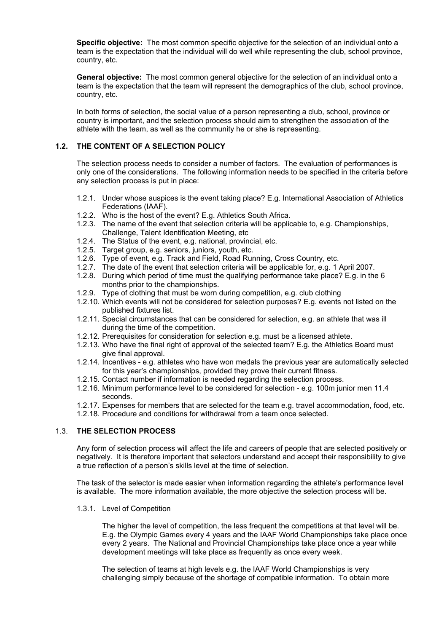**Specific objective:** The most common specific objective for the selection of an individual onto a team is the expectation that the individual will do well while representing the club, school province, country, etc.

**General objective:** The most common general objective for the selection of an individual onto a team is the expectation that the team will represent the demographics of the club, school province, country, etc.

In both forms of selection, the social value of a person representing a club, school, province or country is important, and the selection process should aim to strengthen the association of the athlete with the team, as well as the community he or she is representing.

### **1.2. THE CONTENT OF A SELECTION POLICY**

The selection process needs to consider a number of factors. The evaluation of performances is only one of the considerations. The following information needs to be specified in the criteria before any selection process is put in place:

- 1.2.1. Under whose auspices is the event taking place? E.g. International Association of Athletics Federations (IAAF).
- 1.2.2. Who is the host of the event? E.g. Athletics South Africa.
- 1.2.3. The name of the event that selection criteria will be applicable to, e.g. Championships, Challenge, Talent Identification Meeting, etc
- 1.2.4. The Status of the event, e.g. national, provincial, etc.
- 1.2.5. Target group, e.g. seniors, juniors, youth, etc.
- 1.2.6. Type of event, e.g. Track and Field, Road Running, Cross Country, etc.
- 1.2.7. The date of the event that selection criteria will be applicable for, e.g. 1 April 2007.
- 1.2.8. During which period of time must the qualifying performance take place? E.g. in the 6 months prior to the championships.
- 1.2.9. Type of clothing that must be worn during competition, e.g. club clothing
- 1.2.10. Which events will not be considered for selection purposes? E.g. events not listed on the published fixtures list.
- 1.2.11. Special circumstances that can be considered for selection, e.g. an athlete that was ill during the time of the competition.
- 1.2.12. Prerequisites for consideration for selection e.g. must be a licensed athlete.
- 1.2.13. Who have the final right of approval of the selected team? E.g. the Athletics Board must give final approval.
- 1.2.14. Incentives e.g. athletes who have won medals the previous year are automatically selected for this year's championships, provided they prove their current fitness.
- 1.2.15. Contact number if information is needed regarding the selection process.
- 1.2.16. Minimum performance level to be considered for selection e.g. 100m junior men 11.4 seconds.
- 1.2.17. Expenses for members that are selected for the team e.g. travel accommodation, food, etc.
- 1.2.18. Procedure and conditions for withdrawal from a team once selected.

## 1.3. **THE SELECTION PROCESS**

Any form of selection process will affect the life and careers of people that are selected positively or negatively. It is therefore important that selectors understand and accept their responsibility to give a true reflection of a person's skills level at the time of selection.

The task of the selector is made easier when information regarding the athlete's performance level is available. The more information available, the more objective the selection process will be.

#### 1.3.1. Level of Competition

The higher the level of competition, the less frequent the competitions at that level will be. E.g. the Olympic Games every 4 years and the IAAF World Championships take place once every 2 years. The National and Provincial Championships take place once a year while development meetings will take place as frequently as once every week.

The selection of teams at high levels e.g. the IAAF World Championships is very challenging simply because of the shortage of compatible information. To obtain more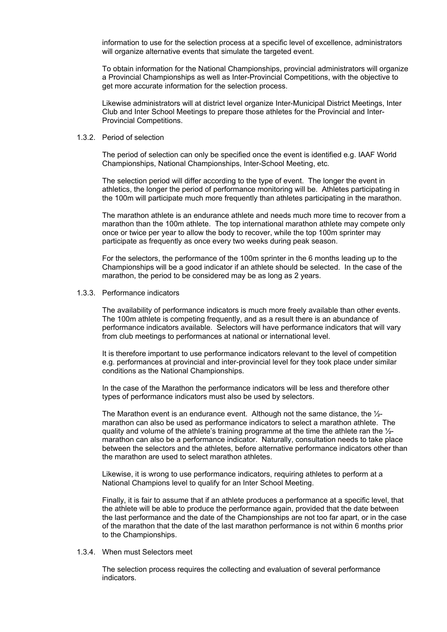information to use for the selection process at a specific level of excellence, administrators will organize alternative events that simulate the targeted event.

To obtain information for the National Championships, provincial administrators will organize a Provincial Championships as well as Inter-Provincial Competitions, with the objective to get more accurate information for the selection process.

Likewise administrators will at district level organize Inter-Municipal District Meetings, Inter Club and Inter School Meetings to prepare those athletes for the Provincial and Inter-Provincial Competitions.

#### 1.3.2. Period of selection

The period of selection can only be specified once the event is identified e.g. IAAF World Championships, National Championships, Inter-School Meeting, etc.

The selection period will differ according to the type of event. The longer the event in athletics, the longer the period of performance monitoring will be. Athletes participating in the 100m will participate much more frequently than athletes participating in the marathon.

The marathon athlete is an endurance athlete and needs much more time to recover from a marathon than the 100m athlete. The top international marathon athlete may compete only once or twice per year to allow the body to recover, while the top 100m sprinter may participate as frequently as once every two weeks during peak season.

For the selectors, the performance of the 100m sprinter in the 6 months leading up to the Championships will be a good indicator if an athlete should be selected. In the case of the marathon, the period to be considered may be as long as 2 years.

### 1.3.3. Performance indicators

The availability of performance indicators is much more freely available than other events. The 100m athlete is competing frequently, and as a result there is an abundance of performance indicators available. Selectors will have performance indicators that will vary from club meetings to performances at national or international level.

It is therefore important to use performance indicators relevant to the level of competition e.g. performances at provincial and inter-provincial level for they took place under similar conditions as the National Championships.

In the case of the Marathon the performance indicators will be less and therefore other types of performance indicators must also be used by selectors.

The Marathon event is an endurance event. Although not the same distance, the ½ marathon can also be used as performance indicators to select a marathon athlete. The quality and volume of the athlete's training programme at the time the athlete ran the ½ marathon can also be a performance indicator. Naturally, consultation needs to take place between the selectors and the athletes, before alternative performance indicators other than the marathon are used to select marathon athletes.

Likewise, it is wrong to use performance indicators, requiring athletes to perform at a National Champions level to qualify for an Inter School Meeting.

Finally, it is fair to assume that if an athlete produces a performance at a specific level, that the athlete will be able to produce the performance again, provided that the date between the last performance and the date of the Championships are not too far apart, or in the case of the marathon that the date of the last marathon performance is not within 6 months prior to the Championships.

#### 1.3.4. When must Selectors meet

The selection process requires the collecting and evaluation of several performance indicators.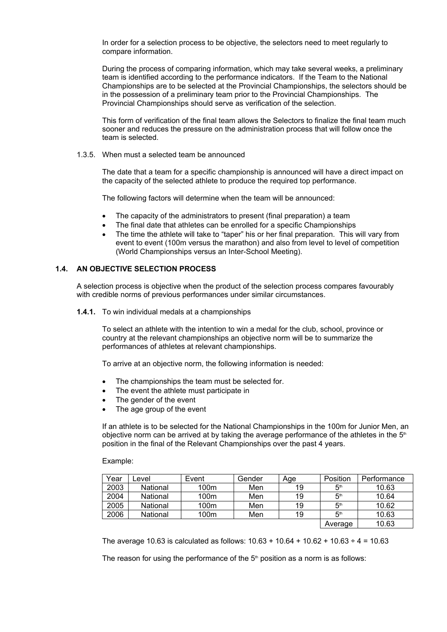In order for a selection process to be objective, the selectors need to meet regularly to compare information.

During the process of comparing information, which may take several weeks, a preliminary team is identified according to the performance indicators. If the Team to the National Championships are to be selected at the Provincial Championships, the selectors should be in the possession of a preliminary team prior to the Provincial Championships. The Provincial Championships should serve as verification of the selection.

This form of verification of the final team allows the Selectors to finalize the final team much sooner and reduces the pressure on the administration process that will follow once the team is selected.

1.3.5. When must a selected team be announced

The date that a team for a specific championship is announced will have a direct impact on the capacity of the selected athlete to produce the required top performance.

The following factors will determine when the team will be announced:

- The capacity of the administrators to present (final preparation) a team
- The final date that athletes can be enrolled for a specific Championships
- The time the athlete will take to "taper" his or her final preparation. This will vary from event to event (100m versus the marathon) and also from level to level of competition (World Championships versus an Inter-School Meeting).

## **1.4. AN OBJECTIVE SELECTION PROCESS**

A selection process is objective when the product of the selection process compares favourably with credible norms of previous performances under similar circumstances.

**1.4.1.** To win individual medals at a championships

To select an athlete with the intention to win a medal for the club, school, province or country at the relevant championships an objective norm will be to summarize the performances of athletes at relevant championships.

To arrive at an objective norm, the following information is needed:

- The championships the team must be selected for.
- The event the athlete must participate in
- The gender of the event
- The age group of the event

If an athlete is to be selected for the National Championships in the 100m for Junior Men, an objective norm can be arrived at by taking the average performance of the athletes in the  $5<sup>th</sup>$ position in the final of the Relevant Championships over the past 4 years.

Example:

| Year | evel.    | Event            | Gender | Age | Position        | Performance |
|------|----------|------------------|--------|-----|-----------------|-------------|
| 2003 | National | 100m             | Men    | 19  | 5 <sup>th</sup> | 10.63       |
| 2004 | National | 100m             | Men    | 19  | 5 <sup>th</sup> | 10.64       |
| 2005 | National | 100 <sub>m</sub> | Men    | 19  | 5 <sup>th</sup> | 10.62       |
| 2006 | National | 100m             | Men    | 19  | 5 <sup>th</sup> | 10.63       |
|      |          |                  |        |     | Average         | 10.63       |

The average 10.63 is calculated as follows:  $10.63 + 10.64 + 10.62 + 10.63 \div 4 = 10.63$ 

The reason for using the performance of the  $5<sup>th</sup>$  position as a norm is as follows: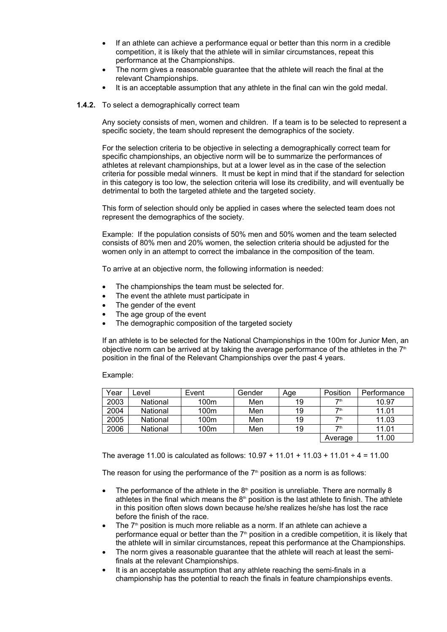- If an athlete can achieve a performance equal or better than this norm in a credible competition, it is likely that the athlete will in similar circumstances, repeat this performance at the Championships.
- The norm gives a reasonable guarantee that the athlete will reach the final at the relevant Championships.
- It is an acceptable assumption that any athlete in the final can win the gold medal.

### **1.4.2.** To select a demographically correct team

Any society consists of men, women and children. If a team is to be selected to represent a specific society, the team should represent the demographics of the society.

For the selection criteria to be objective in selecting a demographically correct team for specific championships, an objective norm will be to summarize the performances of athletes at relevant championships, but at a lower level as in the case of the selection criteria for possible medal winners. It must be kept in mind that if the standard for selection in this category is too low, the selection criteria will lose its credibility, and will eventually be detrimental to both the targeted athlete and the targeted society.

This form of selection should only be applied in cases where the selected team does not represent the demographics of the society.

Example: If the population consists of 50% men and 50% women and the team selected consists of 80% men and 20% women, the selection criteria should be adjusted for the women only in an attempt to correct the imbalance in the composition of the team.

To arrive at an objective norm, the following information is needed:

- The championships the team must be selected for.
- The event the athlete must participate in
- The gender of the event
- The age group of the event
- The demographic composition of the targeted society

If an athlete is to be selected for the National Championships in the 100m for Junior Men, an objective norm can be arrived at by taking the average performance of the athletes in the  $7<sup>th</sup>$ position in the final of the Relevant Championships over the past 4 years.

Example:

| Year | _evel    | Event | Gender | Age | Position        | Performance |
|------|----------|-------|--------|-----|-----------------|-------------|
| 2003 | National | 100m  | Men    | 19  | 7th             | 10.97       |
| 2004 | National | 100m  | Men    | 19  | 7 <sup>th</sup> | 11.01       |
| 2005 | National | 100m  | Men    | 19  | 7 <sup>th</sup> | 11.03       |
| 2006 | National | 100m  | Men    | 19  | 7 <sup>th</sup> | 11.01       |
|      |          |       |        |     | Average         | 11.00       |

The average 11.00 is calculated as follows:  $10.97 + 11.01 + 11.03 + 11.01 \div 4 = 11.00$ 

The reason for using the performance of the  $7<sup>th</sup>$  position as a norm is as follows:

- The performance of the athlete in the  $8<sup>th</sup>$  position is unreliable. There are normally 8 athletes in the final which means the  $8<sup>th</sup>$  position is the last athlete to finish. The athlete in this position often slows down because he/she realizes he/she has lost the race before the finish of the race.
- $\bullet$  The  $7<sup>th</sup>$  position is much more reliable as a norm. If an athlete can achieve a performance equal or better than the  $7<sup>th</sup>$  position in a credible competition, it is likely that the athlete will in similar circumstances, repeat this performance at the Championships.
- The norm gives a reasonable guarantee that the athlete will reach at least the semifinals at the relevant Championships.
- It is an acceptable assumption that any athlete reaching the semi-finals in a championship has the potential to reach the finals in feature championships events.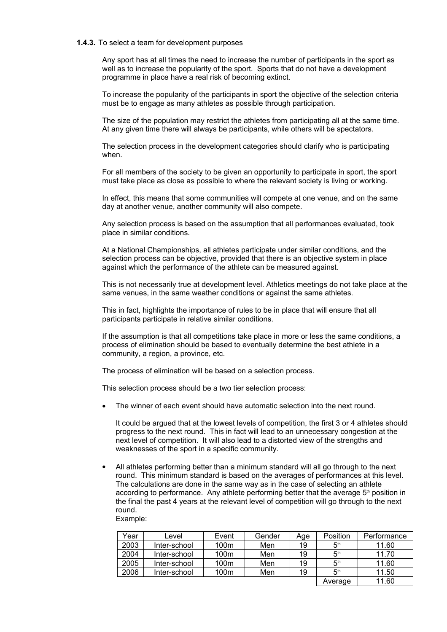#### **1.4.3.** To select a team for development purposes

Any sport has at all times the need to increase the number of participants in the sport as well as to increase the popularity of the sport. Sports that do not have a development programme in place have a real risk of becoming extinct.

To increase the popularity of the participants in sport the objective of the selection criteria must be to engage as many athletes as possible through participation.

The size of the population may restrict the athletes from participating all at the same time. At any given time there will always be participants, while others will be spectators.

The selection process in the development categories should clarify who is participating when.

For all members of the society to be given an opportunity to participate in sport, the sport must take place as close as possible to where the relevant society is living or working.

In effect, this means that some communities will compete at one venue, and on the same day at another venue, another community will also compete.

Any selection process is based on the assumption that all performances evaluated, took place in similar conditions.

At a National Championships, all athletes participate under similar conditions, and the selection process can be objective, provided that there is an objective system in place against which the performance of the athlete can be measured against.

This is not necessarily true at development level. Athletics meetings do not take place at the same venues, in the same weather conditions or against the same athletes.

This in fact, highlights the importance of rules to be in place that will ensure that all participants participate in relative similar conditions.

If the assumption is that all competitions take place in more or less the same conditions, a process of elimination should be based to eventually determine the best athlete in a community, a region, a province, etc.

The process of elimination will be based on a selection process.

This selection process should be a two tier selection process:

The winner of each event should have automatic selection into the next round.

It could be argued that at the lowest levels of competition, the first 3 or 4 athletes should progress to the next round. This in fact will lead to an unnecessary congestion at the next level of competition. It will also lead to a distorted view of the strengths and weaknesses of the sport in a specific community.

 All athletes performing better than a minimum standard will all go through to the next round. This minimum standard is based on the averages of performances at this level. The calculations are done in the same way as in the case of selecting an athlete according to performance. Any athlete performing better that the average  $5<sup>th</sup>$  position in the final the past 4 years at the relevant level of competition will go through to the next round.

Example:

| Year | _evel        | Event | Gender | Age | Position        | Performance |
|------|--------------|-------|--------|-----|-----------------|-------------|
| 2003 | Inter-school | 100m  | Men    | 19  | 5 <sup>th</sup> | 11.60       |
| 2004 | Inter-school | 100m  | Men    | 19  | 5 <sup>th</sup> | 11.70       |
| 2005 | Inter-school | 100m  | Men    | 19  | 5 <sup>th</sup> | 11.60       |
| 2006 | Inter-school | 100m  | Men    | 19  | 5 <sup>th</sup> | 11.50       |
|      |              |       |        |     | Average         | 11.60       |